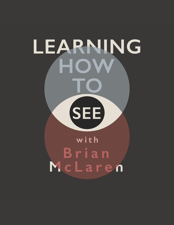## LEARNING HOW **SEE** with Brian McLaren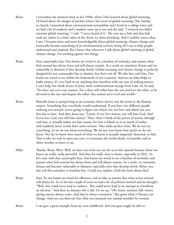- Brian: I remember the moment back in the 1990s, when I first learned about global warming, I'd heard about the danger of nuclear winter, but never of global warming. One Sunday at church, I preached about environmental stewardship and I lived in a college town and we had a lot of students and a student came up to me and she said, "I noticed you didn't mention global warming." I said, "I never heard of it." She sent me a link and that link took me online to a little video of the Arctic ice sheet shrinking. And I couldn't unsee what I saw. I became more and more knowledgeable about global warming, climate change and eventually became something of an environmental activists doing all I can to help people understand and respond. But I know that whenever I talk about global warming or global climate change, I'm working against two things.
- Brian: First catastrophe bias. Our brains are wired to set a baseline of normalcy and assume what feels normal has always been and will always remain. As a result we minimize threats and are vulnerable to disasters if they develop slowly. Global warming and climate change is perfectly designed for our catastrophe bias to dismiss, but that's not all. We also face cash bias. Our brains are wired to see within the framework of our economy. And we see what helps us make money. It's very hard to see anything that interferes with our way of making money. I can't help, but think of one of Jesus' most confrontational sayings from Luke 16, he said, "No slave can serve two masters. For a slave will either hate the one and love the other, or be devoted to the one and despise the other. You cannot serve God and wealth."
- Brian: Basically Jesus is saying living in an economy where slavery was the norm in the Roman empire. Something that everybody would understand. If you have two different people ordering you around, you're going to figure out which one you love and which one you love less or hate. And then Jesus says, "Listen, if you love money, you will hate God. And if you love God, you will hate money." Now, when I think of the power of money through cash bias, it actually makes me hate money for how it blinds us to so much of reality. And suddenly Jesus' words don't seem extreme. They make perfect sense. We do not see everything. So we do not know everything. We do not even know how much we do not know. Nor do we know how much of what we know is actually impartial, distorted, or false. That is why we seek to open our eyes, to encounter the world afresh, in humility and in silent wonder, to learn to see.
- Mike: Thanks, Brian. Wow. Well, we have our work cut out for us in this episode because these two biases are really, really powerful. And they hit really close to home, especially in 2021. So let's start with that catastrophe bias. Our brains are wired to set a baseline of normalcy and assume what feels normal has always been and will always remain. As a result, we minimize threats and become vulnerable to disasters, especially ones that develop slowly. Brian, you also call this normalcy or baseline bias. Could you explain a little bit more about that?
- Brian: Sure. So our brains are wired for efficiency and we like to assume that what seems normal will always be. So in the last couple of years we had a lot of political turmoil and we thought, "Well, this could never lead to violence. This could never lead to an attempt to overthrow an election." And then on January 6th it did. Or we say, "Oh, listen, summer, fall, winter, spring seasons always come. And they're always consistent." But guess what? Climates can change. And you can find out that what you assumed was normal wouldn't be normal.

Brian: I can give a great example from my own childhood. And you guys might be able to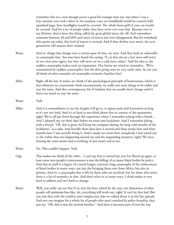remember this too, even though you're a good bit younger than me, but when I was a boy, anytime you took a drive in the summer, your car windshield would be covered with squashed bugs. Your headlights would be covered. The whole front grill of your car would be covered. And for a lot of people today, they have never ever seen that. Because over in my lifetime, there's been this thing called the great global insect die off. And somewhere estimates between 30 and 60% and more of insects just have disappeared. But for somebody who grows up today, this level of insects is normal. And if they decline even more, the next generation will assume that's normal.

Brian: And so, things that change over a certain span of time, we miss. And that leads us vulnerable to catastrophe bias. You may have heard the saying, "A cat that sits on a hot stove will never sit on a hot stove again, but they will never sit on a cold stove either." And the idea is, the sudden catastrophe makes such an impression. Our brains are wired to remember... We're traumatized by sudden catastrophes, but the slow going ones we very easily miss. So can you all think of other examples of catastrophe normalcy baseline bias?

- Mike: Right off the bat. It makes me think of the psychological principle of homeostasis, which is that whatever we consciously think unconsciously, we really just want things to be stable and stay the same. And that contemporary bit of wisdom that we usually don't change until it hurts too much to stay the same.
- Brian: Yeah.
- Mike: And it is extraordinary to me the lengths will go to, to ignore pain and frustration as long as it's not too loud. And it's so hard to not think about that in context of the quarantine, right? We've all just lived through this experience where I remember joking with a friend... And I adopted my cat three days before we went into lockdown. And I remember joking with a friend, "Oh, this is great, he'll keep me company during the long cold months of the lockdown," as a joke. And literally three days later it started and three weeks later and three months later I was actually living it. And it made me aware how completely I was tuned out to the reality that was happening around me and the impending situation, right? We were hearing the news stories and everything. It just wasn't real to me.
- Brian: Yes. This couldn't happen. Yeah.
- Gigi: That makes me think of the other... I can't say that it started last year but flared up again, at least came into people's consciousness is just the killing of so many black bodies by police. And that in itself is a legacy of a much longer, centuries long catastrophe of the enslavement of black bodies in many ways, not just the bringing them over from Africa, but also in prisons. And it's a catastrophe that is felt by those who are involved, but for those who aren't, there is a lot of normalcy to that. And that's what in so many ways, I think makes it very hard to address and very hard to change.
- Brian: Well, you really can see that if we mix this bias, which by the way, one dimension of what people call optimism bias like, oh, everything will work out, right? It can't be that bad. But you mix that with the comfort and complacency bias we talked about it in the last episode. And you can imagine for a whole lot of people who aren't touched by police brutality, they just say, "Oh, this is just the normal baseline." And then it becomes part of just the way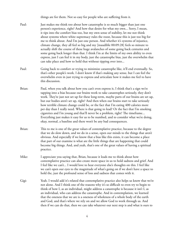things are for them. Not so easy for people who are suffering from it.

- Paul: Just makes me think too about how catastrophe is so much bigger than just one person's experience, right? And how that desire for what my own... Sorry, I mean, it tips into the comfort bias too, but my own sense of stability, let me not think about systems where white supremacy rules the roost, because this is just too big for me to think about. And I'm just one person. And whether it's systems of injustice, climate change, they all feel so big and my [inaudible 00:09:28] feels so minute to actually shift the course of these huge avalanches of some going back centuries and some going back longer than that. I think I'm at the limits of my own ability to even express, just I can feel it in my body, just the catastrophe bias, just the overwhelm that can take place and how to hold that without tipping over into...
- Paul: Going back to comfort or trying to minimize catastrophe like, it'll end eventually. So, that's other people's work. I don't know if that's making any sense, but I can feel the overwhelm even in just trying to express and articulate how it makes me feel to have this discussion.
- Brian: Paul, when you talk about how you can't even express it, I think that's a sign we're tapping into a bias because our brains work to take catastrophes seriously, they don't work. They're just not set up for these long-term, maybe parts of our brains are set up, but our bodies aren't set up, right? And then when our brains start to take seriously how terrible climate change could be, or the fact that I'm eating 400 calories more per day than I really need. Where is that going to lead? Or the fact that I'm smoking cigarettes and I'm young and that'll never be a problem, right? The timeframe... Everything just makes it easy for us to be numbed, and to consider what we're doing, okay, normal, a baseline and there won't be any bad consequences.
- Brian: This to me is one of the great values of contemplative practice, because to the degree that we do slow down, and we do in a sense, open our minds to the things that aren't obvious. And especially if we know that a bias like this exists, it can become a place that part of our examine is what are the little things that are happening that could become big things. And, and yeah, that's one of the great values of having a spiritual practice.
- Mike: I appreciate you saying that, Brian, because it leads me to think about how contemplative practice can also create more space in us to hold sadness and grief. And I feel like we can't... I would love to hear everyone else's thoughts on this. I feel like we can't open our eyes to the magnitude of what's going on if we don't have a space to hold the, just the profound sense of loss and sadness that comes with it.
- Gigi: Yeah. I would add it's related that contemplative practice also helps us know that we're not alone. And I think one of the reasons why it's so difficult to even try to begin to think of how I, as an individual, might address a catastrophe is because it isn't I, as an individual, who can address the catastrophe. And in contemplation, we learned that the oneness that we are is a oneness of wholeness of a whole body of the earth and God, and that's where we rely on and we allow God to work through us. And then if we can do that, then we can take whatever our next step is and what is ours to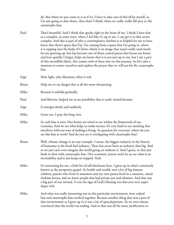do. But when we just come at it as if it's, I have to take care of this all by myself, so I'm just going to shut down, then that's I think, when we really, really fall prey to the catastrophe bias.

- Paul: That's beautiful. And I think that speaks right to the heart of me. I think I have that as a complex, in some ways, where I feel like it's up to me, I can get it to that savior complex. And this is part of why a contemplative rhythm is so helpful for me to have know that there's space that I'm, I'm coming from a space that I'm going to, where it is tapping into the body of Christ, which is an image that wasn't really used much for me growing up, but has become one of those central pieces that house me know, and how quickly I forget, helps me know that it is not just up to me, but I am a part of this incredible fabric, this cosmic web of those also on this journey. So let's take a moment to center ourselves and explore the prayer that we will use for the catastrophe bias.
- Gigi: Holy light, who illumines, what is real.
- Brian: Help me to see danger that is all the more threatening
- Mike: Because it unfolds gradually.
- Paul: And likewise, helped me to see possibility that is easily missed because
- Gigi: It emerges slowly and suddenly
- Mike: Grant me, I pray the long view.
- Mike: So cash bias is next. Our brains are wired to see within the framework of our economy. And we see what helps us make money. It's very hard to see anything that interferes with our way of making a living. So question for everyone, where do you see this bias at work? And do you see it overlapping with catastrophe bias?
- Brian: Well, climate change is an easy example. I mean, the biggest industry in the history of humanity is the fossil fuel industry. There has never been an industry that big. And so we just can't even imagine the world going on without it. And I guess, so that just feeds in then with catastrophe bias. Our economic system won't let us see what is an inevitability and it just keeps us trapped. Yeah.
- Mike: It's interesting for me, a little bit of self-disclosure here. I grew up in what's commonly known as the prosperity gospel. So health and wealth, met a lot of big famous celebrity pastors who lived in mansions and my own pastor lived in a mansion, raised Arabian horses, and we knew people that had private jets and whatnot. And that was a big part of our normal. It was the sign of God's blessing was that you were super duper rich.
- Mike: And what was really interesting was in this particular environment, how cashed bias and catastrophe bias worked together. Because another thing that was a part of that environment as I grew up in it was a lot of apocalypticism. So we were always convinced that the world was ending. And so that was all the more justification to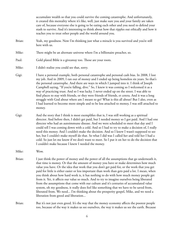accumulate wealth so that you could survive the coming catastrophe. And unfortunately, it created this mentality where it's like, well, just make sure you and your family are taken care of, because everyone else is going to be eating each other and you need to defend your stash to survive. And it's interesting to think about how that ripples out ethically and how it teaches you to treat other people and the world around you.

- Brian: Yeah, my goodness. Now I'm thinking just what a miracle is you survived and you're still here with us.
- Mike: There might be an alternate universe where I'm a billionaire preacher, so.
- Paul: Gold plated Bible is a giveaway too. Those are your roots.
- Mike: I didn't realize you could see that, sorry.
- Gigi: I have a personal example, both personal catastrophe and personal cash bias. In 2008, I lost my job. And in 2009, I ran out of money and I ended up being homeless six years. So that's the personal catastrophe. And there are ways in which I jumped into it. I think of Joseph Campbell saying, "If you're falling, dive." So, I knew it was coming so I welcomed it as a way of practicing trust. And so I was lucky. I never ended up on the street. I was able to find places to stay with friends, or they were friends of friends, et cetera. And it was a long struggle with God about where am I meant to go? What is this all about? But I also, even as I had learned to become more simple and to be less attached to money, I was still attached to money.
- Gigi: And the story that I think is most exemplifies that is, I was still working as a spiritual director. And before then, I didn't get paid, but I needed money so I got paid. And I had one directee who had an autoimmune disease. And we were scheduled to meet that day and I could tell I was coming down with a cold. And so I had to try to make a decision of, I really need this money. And I couldn't make the decision. And so I knew I wasn't supposed to see her, but I couldn't make myself do that. So what I did was I called her and told her I had a cold. So just let me know if we don't want to meet. So I put it on her to do the decision that I couldn't make because I knew I needed the money.

Mike: Wow.

- Brian: I just think the power of money and the power of all the assumptions that go underneath it, that time is money. Or that the amount of money you have or make determines how much value you have. Or the idea that work that you don't get paid for, or the work that you get paid for little is either easier or less important than work than gets paid a lot. I mean, when you think about how hard work is, it has nothing to do with how much money people get from it. Yet, it affects our value so much. And to try to imagine ourselves being liberated from the assumptions that come with our culture and it's centuries of accumulated value system, oh my goodness, it really does feel like something that we have to be saved from, liberated from. We need... I'm thinking about the prosperity gospel, Mike, and we need a liberation from greed and liberation...
- Brian: But it's not just even greed. It's the way that the money economy affects the poorest people too, because of the way it makes us see ourselves, the way it makes us see the earth. Because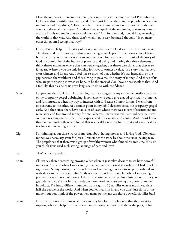I love the outdoors, I remember several years ago, being in the mountains of Pennsylvania, looking at this beautiful mountain, and then it just hit me, there are people who look at this mountain and they think, "How many board feet of lumber are on this mountain that we could cut down all these trees. And then if we scraped off the mountain, how many tons of coal are in this mountain that we could extract?" And for a second, I could imagine seeing the world in that way. And then, that's when it got scary, because I thought, "How many other things am I seeing that way?"

- Paul: Gosh, that's so helpful. The story of money and the story of God seems so different, right? The abuse and use of money, of things not being valuable just for their own sense of being but what can you extract or what can you use or sell for, versus what I think of the story of God of community of the beauty of presence and being and sharing that these elements... I think there's moments where they can weave together, but there's also times that they're so far apart. Where if you are only looking for ways to extract a value, it's a story that has very clear winners and losers. And I feel like so much of our, whether it's pay inequality or the gap between the wealthiest and those living in poverty, it's a story of money. And those of us who are participating in what we hope to be the story of God, how do we speak to that? And I feel like this bias helps us gives language to do so with confidence.
- Mike: I appreciate that Paul. I think something that I've longed for my entire life possibly because of my prosperity gospel upbringing, is someone who could give a good spirituality of money and just introduce a healthy way to interact with it. Because I know for me, I went from one extreme to the other. At a certain point in my life, I deconstructed the prosperity gospel early. And then since then, have had a lot of years where there was as sort of resentment and reluctance and fear around money for me. Whereas I never wanted it around because I was so much reacting against what I had experienced this excesses and abuses. And I don't know that I've ever gotten there and found that real healthy relationship with it and a real healthy teaching in interacting with it.
- Gigi: I'm thinking about those words from Jesus about hating money and loving God. Obviously money was necessary, even for Jesus. I remember the story by about the taxes, paying taxes. The gospels say that there was a group of wealthy women who funded his ministry. Why do you think Jesus used such strong language of hate and love?

Paul: That's a juicy question.

- Brian: I'll just say there's something growing older where it just takes decades to see how powerful money is. And also when I was a young man and newly married my wife and I had four kids right away. So my primary focus was how can I get enough money to keep my kids fed and with shoes and all the rest, right? So there's a sense, at least in my life when I was young, I just was always in need of money. I didn't have time much to philosophize about it. But you get older and you're not in that mode anymore. And you start seeing the power of money in politics. I've heard different numbers from eight to 23 families own as much wealth as half the people in the world. And when you let that sink in and you don't just think of the money, but you think of the power, how many politicians can those powerful families buy?
- Brian: How many hours of commercial time can they buy for the politicians that they want to support, who will help them make even more money and not care about the poor, right?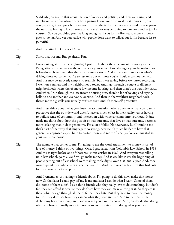Suddenly you realize that accumulation of money and politics, and then you think, and in religion, any of us who've ever been pastors know, your five wealthiest donors in your congregation, if you preach the sermon that maybe is the one they really need to hear you're the next day having to lay off some of your staff, or maybe having to look for another job for yourself. So you get older, you live long enough and you just realize, yeah, money is power, goes so, so far. And yet you realize why people don't want to talk about it. It's because it's so powerful.

Paul: And that attach... Go ahead Mike.

- Paul: I was looking at the camera. (laughs) I just think about the attachment to money as the.. Being attached to money as the outcome or your sense of well-being or your blessedness or belovedness, how much that shapes your interactions. And if the love of money is what's driving those outcomes, you're to just miss out on those you're shoulder to shoulder with. And this may be an overly simplistic example, but I was saying before we started recording, I went on a run around my neighborhood today. And I go through a couple of different neighborhoods where there's more low income housing, and then there's the wealthier parts. And when I run through the low income housing area, there's a lot of waving and saying, hello to one another and everyone's outside. And then in the wealthier neighborhoods, there's more big walls you actually can't see over. And it's more self-protective.
- Paul: And I just think about what goes into the accumulation, where one can actually be so selfprotective that the outside world doesn't have as much effect in their reality versus having to build a sense of community and interaction with whoever comes into your local. It just made me think about how the pursuit of that outcome, that love of that outcome, becomes more isolating than it does generative. For a lot of folks. Not everyone. But I think to me that's part of that why that language is so strong, because it's much harder to have that generative approach as you have to protect more and more of what you've accumulated in your own store house.
- Gigi: The example that comes to me, I'm going to use the word attachment to money is sort of love of money. I think of two things. One, I graduated from Columbia Law School in 1988. And this is right before one of those wall street crashes in 1989. And everyone was telling us in law school, go to a law firm, go make money. And it was like it was the beginning of people getting out of law school were making triple digits, over \$100,000 a year. And, they would spend their whole lives inside the law firm. And there was one law firm that had cots for their associates to sleep on.
- Gigi: And I remember just talking to friends about, I'm going to do this now, make this money now. So that later I could pay off my loans and later I can do what I want. Some of them did, some of them didn't. I also think friends who they really love to do something, but don't feel they can afford it because they don't see how they can make a living at it. So they are in these jobs, they go through all their life that they hate. But they have to make the money to live. They don't see how they can do what they love and live. And to me, that is that dichotomy between money and God is when you have to choose. And you decide that doing what you hate is actually more important to your survival than doing what you love.

Gigi: Sorry, that was me. But go ahead. Paul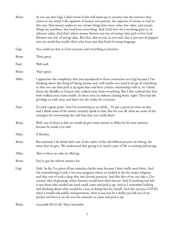| Brian: | As you say that Gigi, I don't know if this will stand up to scrutiny, but the sentence that<br>comes to my mind is the opposite of money isn't poverty, the opposite of money is God in<br>this way. That money makes us say certain things have more value, less value, and certain<br>things are worthless, but God loves everything. And God's love for everything gives it, its<br>inherent value. And that's where money distorts our way of seeing value and to love God<br>liberates our way of seeing value. But that, that as you, as you said, that it just sort of popped<br>into my mind that maybe that's why Jesus uses that kind of strong language.                                                                        |
|--------|--------------------------------------------------------------------------------------------------------------------------------------------------------------------------------------------------------------------------------------------------------------------------------------------------------------------------------------------------------------------------------------------------------------------------------------------------------------------------------------------------------------------------------------------------------------------------------------------------------------------------------------------------------------------------------------------------------------------------------------------|
| Gigi:  | You could say that to God everyone and everything is priceless.                                                                                                                                                                                                                                                                                                                                                                                                                                                                                                                                                                                                                                                                            |
| Brian: | That's great.                                                                                                                                                                                                                                                                                                                                                                                                                                                                                                                                                                                                                                                                                                                              |
| Paul:  | Well said.                                                                                                                                                                                                                                                                                                                                                                                                                                                                                                                                                                                                                                                                                                                                 |
| Brian: | That's great.                                                                                                                                                                                                                                                                                                                                                                                                                                                                                                                                                                                                                                                                                                                              |
| Mike:  | I appreciate the complexity that you introduced in those comments too Gigi because I I'm<br>thinking about this thing of hating money and, well maybe you need to let go of something<br>so that you can then pick it up again later and have a better relationship with it. So I think<br>about the Buddha or Francis who walked away from everything. But I also realized that they<br>both walked away from wealth. So there were no debtors chasing them, right? They had the<br>privilege to walk away and that's not the reality for everyone.                                                                                                                                                                                       |
| Paul:  | It's such a great point. And I'm wondering as we think To put a practical twist on this,<br>and I think some of the stories certainly speak to that. But for you all, what are some of the<br>strategies for overcoming the cash bias that you could share?                                                                                                                                                                                                                                                                                                                                                                                                                                                                                |
| Brian: | Well, one of them is that we would all give some money to Mike for his new ministry<br>because he needs a jet and-                                                                                                                                                                                                                                                                                                                                                                                                                                                                                                                                                                                                                         |
| Mike:  | A Bentley.                                                                                                                                                                                                                                                                                                                                                                                                                                                                                                                                                                                                                                                                                                                                 |
| Brian: | But seriously I do think that's one of the values of the old biblical practice of tithing, the<br>sense that we give. We understand that giving is as much a part of life as earning and saving.                                                                                                                                                                                                                                                                                                                                                                                                                                                                                                                                           |
| Mike:  | This is where we take an offering.                                                                                                                                                                                                                                                                                                                                                                                                                                                                                                                                                                                                                                                                                                         |
| Brian: | You've got the inborn instinct for.                                                                                                                                                                                                                                                                                                                                                                                                                                                                                                                                                                                                                                                                                                        |
| Gigi:  | Yeah. So far, I've given all my stimulus checks away because I don't really need them. And<br>I'm remembering I took a two year program where we looked at the five major religions<br>and they sort of took a deep dive into Jewish practices. And this idea of we can take a 21st<br>century idea of gleaning, where farmers would have their harvest. And if anything was left,<br>it was those who needed the food could come and pick it up. And so I remember looking<br>and thinking about what would be a way of doing that for myself. And this was pre-COVID<br>when I would ride public transportation. Now it was just let a dollar just fall out of my<br>pocket and leave it on the seat for someone to come and pick it up. |
|        |                                                                                                                                                                                                                                                                                                                                                                                                                                                                                                                                                                                                                                                                                                                                            |

Brian: [crosstalk 00:32:36] That's beautiful.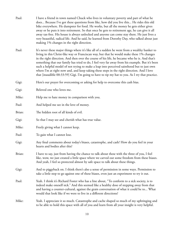- Paul: I have a friend in town named Chuck who lives in voluntary poverty and part of what he does... Because I've got these questions from like, how did you live this... He rides this old bike everywhere. He dumpster for food. He works, but all the money he gets either gives away or he puts it into retirement. So that once he gets to retirement age, he can give it all away tax-free. His house is always unlocked and anyone can come stay there. He just lives a very beautiful, radical life. And he said, he learned from Dorothy Day, who talked about just making 1% changes in the right direction.
- Paul: It's never these major things where it's like all of a sudden he went from a wealthy banker to living in this Christ-like way or Franciscan way, but that he would make these 1% changes in the right direction. And then over the course of his life, he became who he is. And that's something that our family has tried to do, I feel very far away from his example. But it's been such a helpful model of not trying to make a leap into perceived sainthood but to just own where I'm at right now and, and keep taking these steps in the right direction. And I love that [inaudible 00:33:59] Gigi. I'm going to have to tip my hat to you. As I try that practice.
- Gigi: Here's our prayer for overcoming or asking for help to overcome this cash bias.
- Gigi: Beloved one who loves me.
- Mike: Help me to hate money in comparison with you.
- Paul: And helped me see in the love of money.
- Brian: The hidden root of all kinds of evil.
- Gigi: So that I may see and cherish what has true value.
- Mike: Freely giving what I cannot keep.
- Paul: To gain what I cannot lose.
- Gigi: Any final comments about today's biases, catastrophe, and cash? How do you feel in your hearts and bodies after this?
- Brian: I have to say, just from having the chance to talk about these with the three of you, I feel like, wow, we just created a little space where we carved out some freedom from these biases. And yeah, I feel so protected almost by safe space to talk about these things.
- Gigi: And to piggyback on. I think there's also a sense of permission in some ways. Permission to take a little step to go against one of these biases, even just an experiment to try it out.
- Paul: Yeah. I think it's Richard Foster who has a line about, "To conform to a sick society, is to indeed make oneself sick." And this seemed like a healthy dose of stepping away from that and having a counter-cultural, against the grain conversation of what it could be to... What would that look like if we were to live in a different directions?
- Mike: Yeah. I appreciate it so much. Catastrophe and cache shaped so much of my upbringing and to be able to hold this space with all of you and learn from all your insight is very helpful.